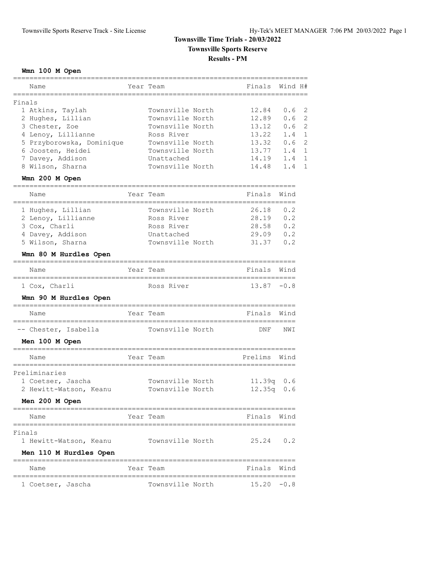## **Townsville Time Trials - 20/03/2022 Townsville Sports Reserve**

**Results - PM**

#### **Wmn 100 M Open**

| Name                                     | Year Team        | Finals                             | Wind H# |                |
|------------------------------------------|------------------|------------------------------------|---------|----------------|
| Finals                                   |                  |                                    |         |                |
| 1 Atkins, Taylah                         | Townsville North | 12.84                              | 0.6     | $\overline{2}$ |
| 2 Hughes, Lillian                        | Townsville North | 12.89                              | 0.6     | 2              |
| 3 Chester, Zoe                           | Townsville North | 13.12                              | 0.6     | 2              |
| 4 Lenoy, Lillianne                       | Ross River       | 13.22                              | 1.4     | $\mathbf{1}$   |
| 5 Przyborowska, Dominique                | Townsville North | 13.32                              | 0.6     | 2              |
| 6 Joosten, Heidei                        | Townsville North | 13.77                              | 1.4     | $\mathbf{1}$   |
| 7 Davey, Addison                         | Unattached       | 14.19                              | 1.4     | $\mathbf{1}$   |
| 8 Wilson, Sharna                         | Townsville North | 14.48                              | 1.4     | 1              |
| Wmn 200 M Open                           |                  |                                    |         |                |
| --------------------------------<br>Name | Year Team        | Finals                             | Wind    |                |
| 1 Hughes, Lillian                        | Townsville North | 26.18                              | 0.2     |                |
| 2 Lenoy, Lillianne                       | Ross River       | 28.19                              | 0.2     |                |
| 3 Cox, Charli                            | Ross River       | 28.58                              | 0.2     |                |
| 4 Davey, Addison                         | Unattached       | 29.09                              | 0.2     |                |
| 5 Wilson, Sharna                         | Townsville North | 31.37                              | 0.2     |                |
| Wmn 80 M Hurdles Open                    |                  |                                    |         |                |
| Name                                     | Year Team        | Finals                             | Wind    |                |
| 1 Cox, Charli                            | Ross River       | ,,,,,,,,,,,,,,,,,<br>$13.87 - 0.8$ |         |                |
| Wmn 90 M Hurdles Open                    |                  |                                    |         |                |
| Name                                     | Year Team        | Finals                             | Wind    |                |
| -- Chester, Isabella                     | Townsville North | DNF                                | NWI     |                |
| Men 100 M Open                           |                  |                                    |         |                |
| Name                                     | Year Team        | Prelims                            | Wind    |                |
| Preliminaries                            |                  |                                    |         |                |
| 1 Coetser, Jascha                        | Townsville North | 11.39q 0.6                         |         |                |
| 2 Hewitt-Watson, Keanu                   | Townsville North | 12.35q                             | 0.6     |                |
| Men 200 M Open                           |                  |                                    |         |                |
| Name                                     | Year Team        | Finals                             | Wind    |                |
| Finals                                   |                  |                                    |         |                |
| 1 Hewitt-Watson, Keanu                   | Townsville North | 25.24                              | 0.2     |                |
| Men 110 M Hurdles Open                   |                  |                                    |         |                |
| Name                                     | Year Team        | Finals Wind                        |         |                |
| 1 Coetser, Jascha                        | Townsville North | 15.20                              | -0.8    |                |